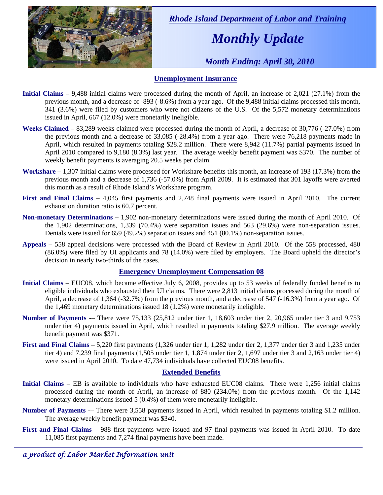

 *Rhode Island Department of Labor and Training* 

# *Monthly Update*

 *Month Ending: April 30, 2010* 

### **Unemployment Insurance**

- **Initial Claims 9,488** initial claims were processed during the month of April, an increase of 2,021 (27.1%) from the previous month, and a decrease of -893 (-8.6%) from a year ago. Of the 9,488 initial claims processed this month, 341 (3.6%) were filed by customers who were not citizens of the U.S. Of the 5,572 monetary determinations issued in April, 667 (12.0%) were monetarily ineligible.
- **Weeks Claimed** 83,289 weeks claimed were processed during the month of April, a decrease of 30,776 (-27.0%) from the previous month and a decrease of 33,085 (-28.4%) from a year ago. There were 76,218 payments made in April, which resulted in payments totaling \$28.2 million. There were 8,942 (11.7%) partial payments issued in April 2010 compared to 9,180 (8.3%) last year. The average weekly benefit payment was \$370. The number of weekly benefit payments is averaging 20.5 weeks per claim.
- **Workshare –** 1,307 initial claims were processed for Workshare benefits this month, an increase of 193 (17.3%) from the previous month and a decrease of 1,736 (-57.0%) from April 2009. It is estimated that 301 layoffs were averted this month as a result of Rhode Island's Workshare program.
- **First and Final Claims –** 4,045 first payments and 2,748 final payments were issued in April 2010. The current exhaustion duration ratio is 60.7 percent.
- **Non-monetary Determinations –** 1,902 non-monetary determinations were issued during the month of April 2010. Of the 1,902 determinations, 1,339 (70.4%) were separation issues and 563 (29.6%) were non-separation issues. Denials were issued for 659 (49.2%) separation issues and 451 (80.1%) non-separation issues.
- **Appeals** 558 appeal decisions were processed with the Board of Review in April 2010. Of the 558 processed, 480 (86.0%) were filed by UI applicants and 78 (14.0%) were filed by employers. The Board upheld the director's decision in nearly two-thirds of the cases.

#### **Emergency Unemployment Compensation 08**

- **Initial Claims**  EUC08, which became effective July 6, 2008, provides up to 53 weeks of federally funded benefits to eligible individuals who exhausted their UI claims. There were 2,813 initial claims processed during the month of April, a decrease of 1,364 (-32.7%) from the previous month, and a decrease of 547 (-16.3%) from a year ago. Of the 1,469 monetary determinations issued  $18(1.2\%)$  were monetarily ineligible.
- **Number of Payments** -– There were 75,133 (25,812 under tier 1, 18,603 under tier 2, 20,965 under tier 3 and 9,753 under tier 4) payments issued in April, which resulted in payments totaling \$27.9 million. The average weekly benefit payment was \$371.
- **First and Final Claims**  5,220 first payments (1,326 under tier 1, 1,282 under tier 2, 1,377 under tier 3 and 1,235 under tier 4) and 7,239 final payments (1,505 under tier 1, 1,874 under tier 2, 1,697 under tier 3 and 2,163 under tier 4) were issued in April 2010. To date 47,734 individuals have collected EUC08 benefits.

#### **Extended Benefits**

- **Initial Claims**  EB is available to individuals who have exhausted EUC08 claims. There were 1,256 initial claims processed during the month of April, an increase of 880 (234.0%) from the previous month. Of the 1,142 monetary determinations issued  $5(0.4\%)$  of them were monetarily ineligible.
- **Number of Payments** -- There were 3,558 payments issued in April, which resulted in payments totaling \$1.2 million. The average weekly benefit payment was \$340.
- **First and Final Claims**  988 first payments were issued and 97 final payments was issued in April 2010. To date 11,085 first payments and 7,274 final payments have been made.